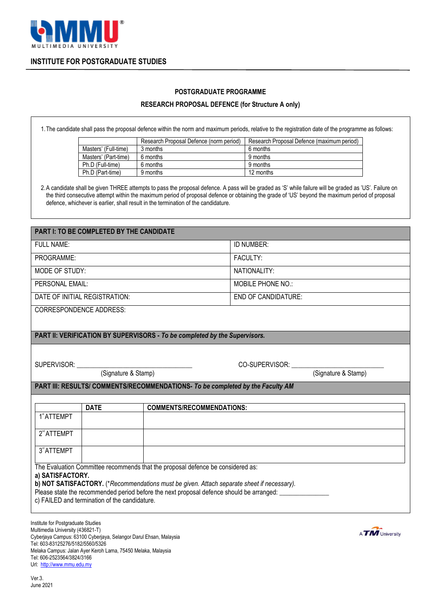

## **INSTITUTE FOR POSTGRADUATE STUDIES**

## **POSTGRADUATE PROGRAMME**

## **RESEARCH PROPOSAL DEFENCE (for Structure A only)**

1.The candidate shall pass the proposal defence within the norm and maximum periods, relative to the registration date of the programme as follows:

|                      | Research Proposal Defence (norm period) | Research Proposal Defence (maximum period) |
|----------------------|-----------------------------------------|--------------------------------------------|
| Masters' (Full-time) | 3 months                                | 6 months                                   |
| Masters' (Part-time) | 6 months                                | 9 months                                   |
| Ph.D (Full-time)     | 6 months                                | 9 months                                   |
| Ph.D (Part-time)     | 9 months                                | 12 months                                  |

2.A candidate shall be given THREE attempts to pass the proposal defence. A pass will be graded as 'S' while failure will be graded as 'US'. Failure on the third consecutive attempt within the maximum period of proposal defence or obtaining the grade of 'US' beyond the maximum period of proposal defence, whichever is earlier, shall result in the termination of the candidature.

| <b>PART I: TO BE COMPLETED BY THE CANDIDATE</b>                                |                                               |                                                                                            |                             |                     |  |
|--------------------------------------------------------------------------------|-----------------------------------------------|--------------------------------------------------------------------------------------------|-----------------------------|---------------------|--|
| <b>FULL NAME:</b>                                                              |                                               | ID NUMBER:                                                                                 |                             |                     |  |
| PROGRAMME:                                                                     |                                               | FACULTY:                                                                                   |                             |                     |  |
| MODE OF STUDY:                                                                 |                                               | NATIONALITY:                                                                               |                             |                     |  |
| PERSONAL EMAIL:                                                                |                                               | <b>MOBILE PHONE NO.:</b>                                                                   |                             |                     |  |
| DATE OF INITIAL REGISTRATION:                                                  |                                               | <b>END OF CANDIDATURE:</b>                                                                 |                             |                     |  |
| <b>CORRESPONDENCE ADDRESS:</b>                                                 |                                               |                                                                                            |                             |                     |  |
|                                                                                |                                               |                                                                                            |                             |                     |  |
| PART II: VERIFICATION BY SUPERVISORS - To be completed by the Supervisors.     |                                               |                                                                                            |                             |                     |  |
|                                                                                |                                               |                                                                                            |                             |                     |  |
|                                                                                |                                               |                                                                                            | CO-SUPERVISOR: ____________ |                     |  |
|                                                                                |                                               |                                                                                            |                             | (Signature & Stamp) |  |
| PART III: RESULTS/ COMMENTS/RECOMMENDATIONS- To be completed by the Faculty AM |                                               |                                                                                            |                             |                     |  |
|                                                                                |                                               |                                                                                            |                             |                     |  |
|                                                                                |                                               |                                                                                            |                             |                     |  |
|                                                                                | <b>DATE</b>                                   | <b>COMMENTS/RECOMMENDATIONS:</b>                                                           |                             |                     |  |
| 1 <sup>st</sup> ATTEMPT                                                        |                                               |                                                                                            |                             |                     |  |
| 2 <sup>nd</sup> ATTEMPT                                                        |                                               |                                                                                            |                             |                     |  |
| 3 <sup>rd</sup> ATTEMPT                                                        |                                               |                                                                                            |                             |                     |  |
|                                                                                |                                               |                                                                                            |                             |                     |  |
| a) SATISFACTORY.                                                               |                                               | The Evaluation Committee recommends that the proposal defence be considered as:            |                             |                     |  |
|                                                                                |                                               | b) NOT SATISFACTORY. (*Recommendations must be given. Attach separate sheet if necessary). |                             |                     |  |
|                                                                                |                                               | Please state the recommended period before the next proposal defence should be arranged:   |                             |                     |  |
|                                                                                | c) FAILED and termination of the candidature. |                                                                                            |                             |                     |  |

Institute for Postgraduate Studies Multimedia University (436821-T) Cyberjaya Campus: 63100 Cyberjaya, Selangor Darul Ehsan, Malaysia Tel: 603-83125276/5182/5560/5326 Melaka Campus: Jalan Ayer Keroh Lama, 75450 Melaka, Malaysia Tel: 606-2523564/3824/3166 Url: [http://www.mmu.edu.my](http://www.mmu.edu.my/)